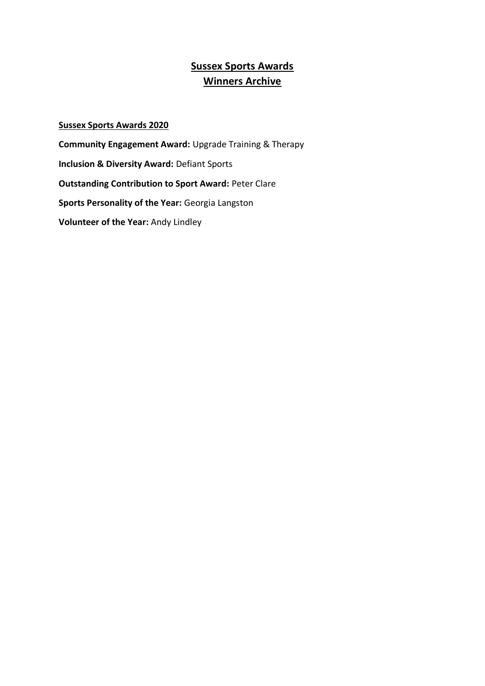# **Sussex Sports Awards Winners Archive**

## **Sussex Sports Awards 2020**

**Community Engagement Award:** Upgrade Training & Therapy **Inclusion & Diversity Award:** Defiant Sports **Outstanding Contribution to Sport Award:** Peter Clare **Sports Personality of the Year:** Georgia Langston **Volunteer of the Year:** Andy Lindley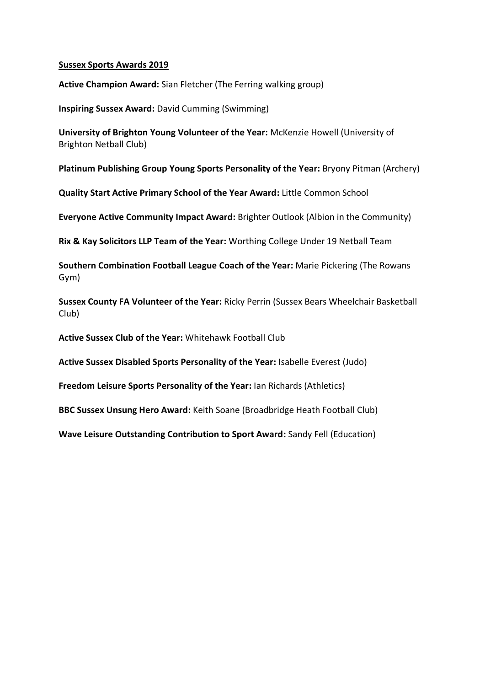**Active Champion Award:** Sian Fletcher (The Ferring walking group)

**Inspiring Sussex Award:** David Cumming (Swimming)

**University of Brighton Young Volunteer of the Year:** McKenzie Howell (University of Brighton Netball Club)

**Platinum Publishing Group Young Sports Personality of the Year:** Bryony Pitman (Archery)

**Quality Start Active Primary School of the Year Award:** Little Common School

**Everyone Active Community Impact Award:** Brighter Outlook (Albion in the Community)

**Rix & Kay Solicitors LLP Team of the Year:** Worthing College Under 19 Netball Team

**Southern Combination Football League Coach of the Year:** Marie Pickering (The Rowans Gym)

**Sussex County FA Volunteer of the Year:** Ricky Perrin (Sussex Bears Wheelchair Basketball Club)

**Active Sussex Club of the Year:** Whitehawk Football Club

**Active Sussex Disabled Sports Personality of the Year:** Isabelle Everest (Judo)

**Freedom Leisure Sports Personality of the Year:** Ian Richards (Athletics)

**BBC Sussex Unsung Hero Award:** Keith Soane (Broadbridge Heath Football Club)

**Wave Leisure Outstanding Contribution to Sport Award:** Sandy Fell (Education)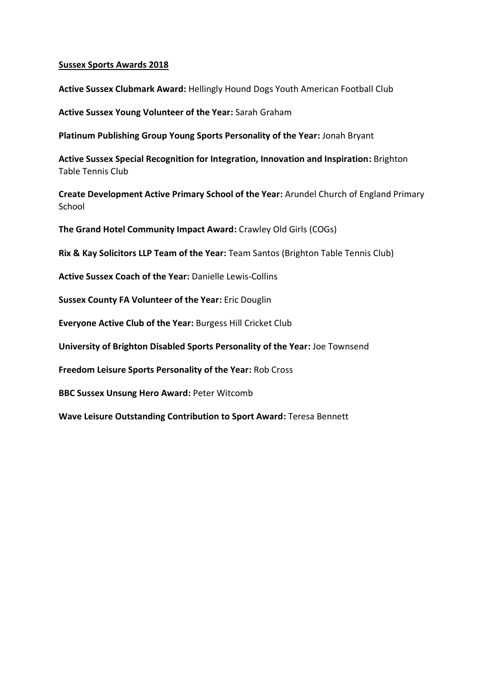**Active Sussex Clubmark Award:** Hellingly Hound Dogs Youth American Football Club

**Active Sussex Young Volunteer of the Year:** Sarah Graham

**Platinum Publishing Group Young Sports Personality of the Year:** Jonah Bryant

**Active Sussex Special Recognition for Integration, Innovation and Inspiration:** Brighton Table Tennis Club

**Create Development Active Primary School of the Year:** Arundel Church of England Primary **School** 

**The Grand Hotel Community Impact Award:** Crawley Old Girls (COGs)

**Rix & Kay Solicitors LLP Team of the Year:** Team Santos (Brighton Table Tennis Club)

**Active Sussex Coach of the Year:** Danielle Lewis-Collins

**Sussex County FA Volunteer of the Year:** Eric Douglin

**Everyone Active Club of the Year:** Burgess Hill Cricket Club

**University of Brighton Disabled Sports Personality of the Year:** Joe Townsend

**Freedom Leisure Sports Personality of the Year:** Rob Cross

**BBC Sussex Unsung Hero Award:** Peter Witcomb

**Wave Leisure Outstanding Contribution to Sport Award:** Teresa Bennett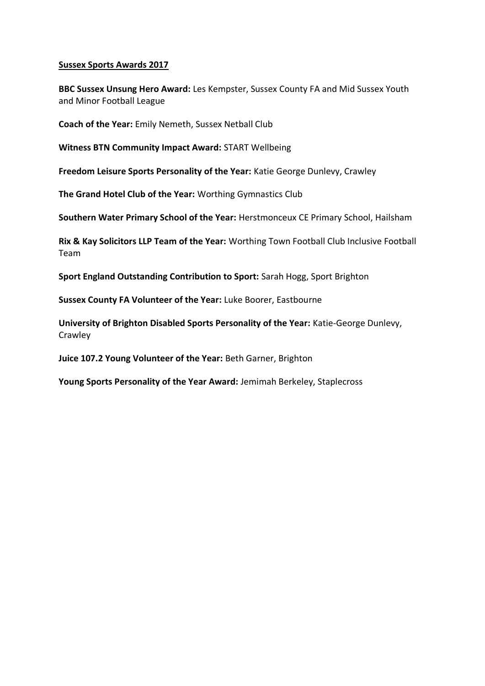**BBC Sussex Unsung Hero Award:** Les Kempster, Sussex County FA and Mid Sussex Youth and Minor Football League

**Coach of the Year:** Emily Nemeth, Sussex Netball Club

**Witness BTN Community Impact Award:** START Wellbeing

**Freedom Leisure Sports Personality of the Year:** Katie George Dunlevy, Crawley

**The Grand Hotel Club of the Year:** Worthing Gymnastics Club

**Southern Water Primary School of the Year:** Herstmonceux CE Primary School, Hailsham

**Rix & Kay Solicitors LLP Team of the Year:** Worthing Town Football Club Inclusive Football Team

**Sport England Outstanding Contribution to Sport:** Sarah Hogg, Sport Brighton

**Sussex County FA Volunteer of the Year:** Luke Boorer, Eastbourne

**University of Brighton Disabled Sports Personality of the Year:** Katie-George Dunlevy, Crawley

**Juice 107.2 Young Volunteer of the Year:** Beth Garner, Brighton

**Young Sports Personality of the Year Award:** Jemimah Berkeley, Staplecross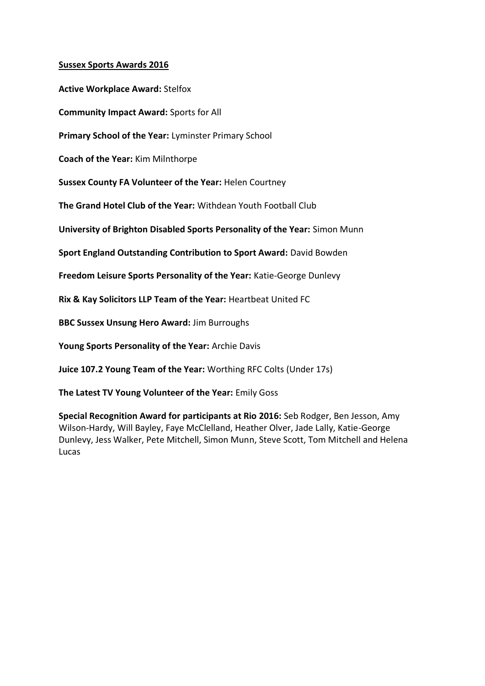**Active Workplace Award:** Stelfox **Community Impact Award:** Sports for All **Primary School of the Year:** Lyminster Primary School **Coach of the Year:** Kim Milnthorpe **Sussex County FA Volunteer of the Year:** Helen Courtney **The Grand Hotel Club of the Year:** Withdean Youth Football Club **University of Brighton Disabled Sports Personality of the Year:** Simon Munn **Sport England Outstanding Contribution to Sport Award:** David Bowden **Freedom Leisure Sports Personality of the Year:** Katie-George Dunlevy **Rix & Kay Solicitors LLP Team of the Year:** Heartbeat United FC **BBC Sussex Unsung Hero Award:** Jim Burroughs **Young Sports Personality of the Year:** Archie Davis

**Juice 107.2 Young Team of the Year:** Worthing RFC Colts (Under 17s)

**The Latest TV Young Volunteer of the Year:** Emily Goss

**Special Recognition Award for participants at Rio 2016:** Seb Rodger, Ben Jesson, Amy Wilson-Hardy, Will Bayley, Faye McClelland, Heather Olver, Jade Lally, Katie-George Dunlevy, Jess Walker, Pete Mitchell, Simon Munn, Steve Scott, Tom Mitchell and Helena Lucas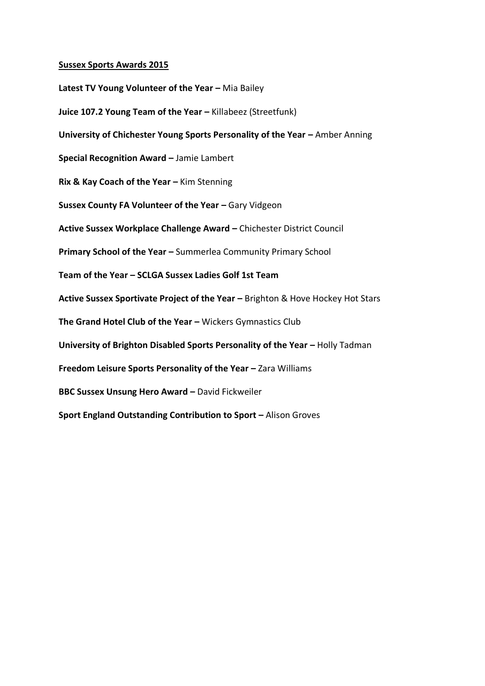**Latest TV Young Volunteer of the Year - Mia Bailey Juice 107.2 Young Team of the Year -** Killabeez (Streetfunk) **University of Chichester Young Sports Personality of the Year – Amber Anning Special Recognition Award –** Jamie Lambert **Rix & Kay Coach of the Year –** Kim Stenning **Sussex County FA Volunteer of the Year – Gary Vidgeon Active Sussex Workplace Challenge Award –** Chichester District Council **Primary School of the Year –** Summerlea Community Primary School **Team of the Year – SCLGA Sussex Ladies Golf 1st Team Active Sussex Sportivate Project of the Year –** Brighton & Hove Hockey Hot Stars **The Grand Hotel Club of the Year –** Wickers Gymnastics Club **University of Brighton Disabled Sports Personality of the Year - Holly Tadman Freedom Leisure Sports Personality of the Year - Zara Williams BBC Sussex Unsung Hero Award –** David Fickweiler **Sport England Outstanding Contribution to Sport – Alison Groves**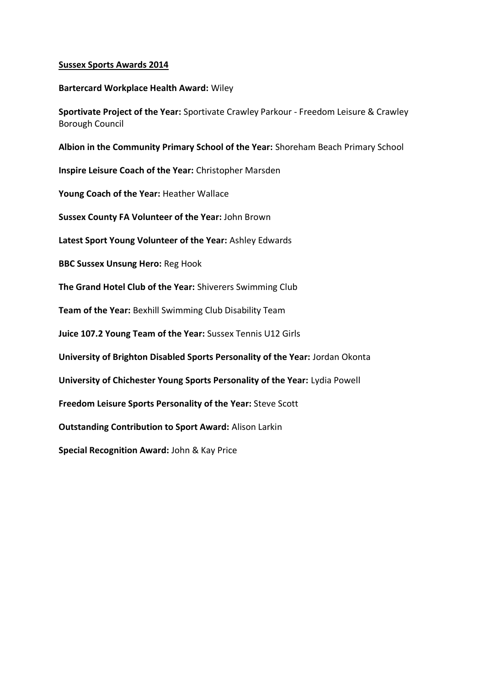#### **Bartercard Workplace Health Award:** Wiley

**Sportivate Project of the Year:** Sportivate Crawley Parkour - Freedom Leisure & Crawley Borough Council

**Albion in the Community Primary School of the Year:** Shoreham Beach Primary School

**Inspire Leisure Coach of the Year:** Christopher Marsden

**Young Coach of the Year:** Heather Wallace

**Sussex County FA Volunteer of the Year:** John Brown

**Latest Sport Young Volunteer of the Year:** Ashley Edwards

**BBC Sussex Unsung Hero:** Reg Hook

**The Grand Hotel Club of the Year:** Shiverers Swimming Club

**Team of the Year:** Bexhill Swimming Club Disability Team

**Juice 107.2 Young Team of the Year:** Sussex Tennis U12 Girls

**University of Brighton Disabled Sports Personality of the Year:** Jordan Okonta

**University of Chichester Young Sports Personality of the Year:** Lydia Powell

**Freedom Leisure Sports Personality of the Year:** Steve Scott

**Outstanding Contribution to Sport Award:** Alison Larkin

**Special Recognition Award:** John & Kay Price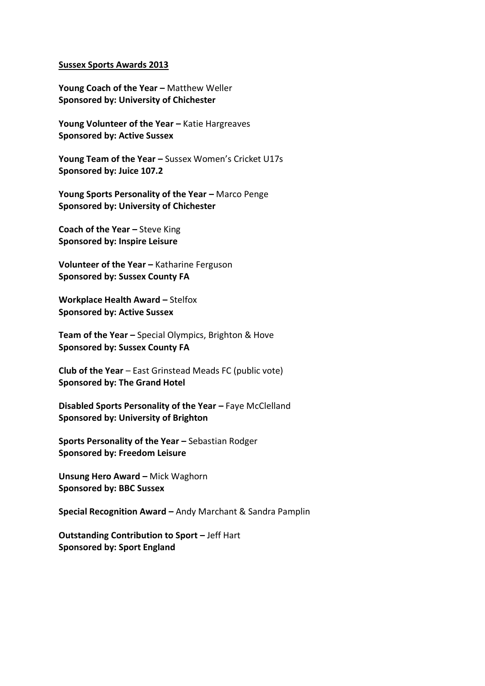Young Coach of the Year – Matthew Weller **Sponsored by: University of Chichester** 

Young Volunteer of the Year – Katie Hargreaves **Sponsored by: Active Sussex** 

Young Team of the Year - Sussex Women's Cricket U17s **Sponsored by: Juice 107.2** 

Young Sports Personality of the Year - Marco Penge **Sponsored by: University of Chichester** 

**Coach of the Year –** Steve King **Sponsored by: Inspire Leisure** 

**Volunteer of the Year –** Katharine Ferguson **Sponsored by: Sussex County FA** 

**Workplace Health Award – Stelfox Sponsored by: Active Sussex** 

**Team of the Year –** Special Olympics, Brighton & Hove **Sponsored by: Sussex County FA** 

**Club of the Year** – East Grinstead Meads FC (public vote) **Sponsored by: The Grand Hotel** 

**Disabled Sports Personality of the Year – Faye McClelland Sponsored by: University of Brighton** 

**Sports Personality of the Year -** Sebastian Rodger **Sponsored by: Freedom Leisure** 

**Unsung Hero Award - Mick Waghorn Sponsored by: BBC Sussex** 

**Special Recognition Award –** Andy Marchant & Sandra Pamplin

**Outstanding Contribution to Sport –** Jeff Hart **Sponsored by: Sport England**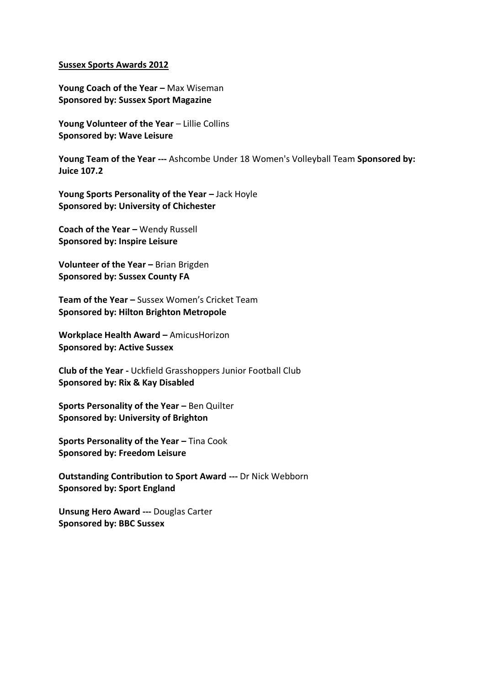**Young Coach of the Year –** Max Wiseman **Sponsored by: Sussex Sport Magazine** 

Young Volunteer of the Year - Lillie Collins **Sponsored by: Wave Leisure** 

**Young Team of the Year ---** Ashcombe Under 18 Women's Volleyball Team **Sponsored by: Juice 107.2** 

Young Sports Personality of the Year - Jack Hoyle **Sponsored by: University of Chichester** 

**Coach of the Year -** Wendy Russell **Sponsored by: Inspire Leisure** 

**Volunteer of the Year -** Brian Brigden **Sponsored by: Sussex County FA** 

**Team of the Year –** Sussex Women's Cricket Team **Sponsored by: Hilton Brighton Metropole** 

**Workplace Health Award –** AmicusHorizon **Sponsored by: Active Sussex** 

**Club of the Year -** Uckfield Grasshoppers Junior Football Club **Sponsored by: Rix & Kay Disabled** 

**Sports Personality of the Year -** Ben Quilter **Sponsored by: University of Brighton** 

**Sports Personality of the Year - Tina Cook Sponsored by: Freedom Leisure** 

**Outstanding Contribution to Sport Award ---** Dr Nick Webborn **Sponsored by: Sport England** 

**Unsung Hero Award ---** Douglas Carter **Sponsored by: BBC Sussex**